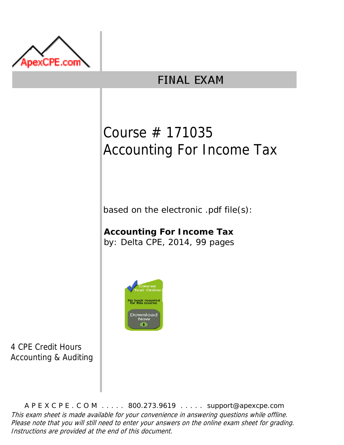

# **FINAL EXAM**

# Course # 171035 Accounting For Income Tax

based on the electronic .pdf file(s):

**Accounting For Income Tax** by: Delta CPE, 2014, 99 pages



4 CPE Credit Hours Accounting & Auditing

A P E X C P E . C O M . . . . . 800.273.9619 . . . . . support@apexcpe.com This exam sheet is made available for your convenience in answering questions while offline. Please note that you will still need to enter your answers on the online exam sheet for grading. Instructions are provided at the end of this document.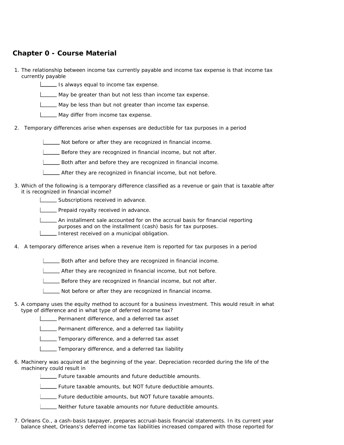# **Chapter 0 - Course Material**

- 1. The relationship between income tax currently payable and income tax expense is that income tax currently payable
	- **IS always equal to income tax expense.**
	- May be greater than but not less than income tax expense.
	- May be less than but not greater than income tax expense.
	- May differ from income tax expense.
- 2. Temporary differences arise when expenses are deductible for tax purposes in a period
	- Not before or after they are recognized in financial income.
	- Before they are recognized in financial income, but not after.
	- Both after and before they are recognized in financial income.
	- After they are recognized in financial income, but not before.
- 3. Which of the following is a temporary difference classified as a revenue or gain that is taxable after it is recognized in financial income?
	- Subscriptions received in advance.
	- **LECT** Prepaid royalty received in advance.
	- An installment sale accounted for on the accrual basis for financial reporting purposes and on the installment (cash) basis for tax purposes.
	- Interest received on a municipal obligation.
- 4. A temporary difference arises when a revenue item is reported for tax purposes in a period
	- Both after and before they are recognized in financial income.
	- **LETT** After they are recognized in financial income, but not before.
	- Before they are recognized in financial income, but not after.
	- Not before or after they are recognized in financial income.
- 5. A company uses the equity method to account for a business investment. This would result in what type of difference and in what type of deferred income tax?
	- **LECT** Permanent difference, and a deferred tax asset
	- **LETT** Permanent difference, and a deferred tax liability
	- **Temporary difference, and a deferred tax asset**
	- **Temporary difference, and a deferred tax liability**
- 6. Machinery was acquired at the beginning of the year. Depreciation recorded during the life of the machinery could result in
	- **Future taxable amounts and future deductible amounts.**
	- Future taxable amounts, but NOT future deductible amounts.
	- **LETT** Future deductible amounts, but NOT future taxable amounts.
	- Neither future taxable amounts nor future deductible amounts.
- 7. Orleans Co., a cash-basis taxpayer, prepares accrual-basis financial statements. In its current year balance sheet, Orleans's deferred income tax liabilities increased compared with those reported for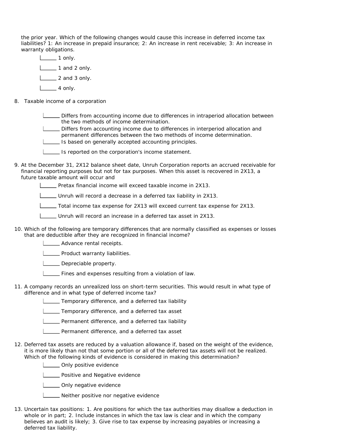the prior year. Which of the following changes would cause this increase in deferred income tax liabilities? 1: An increase in prepaid insurance; 2: An increase in rent receivable; 3: An increase in warranty obligations.

- $\boxed{\phantom{1}}$  1 only.  $\Box$  1 and 2 only.  $\Box$  2 and 3 only.  $\Box$  4 only.
- 8. Taxable income of a corporation

Differs from accounting income due to differences in intraperiod allocation between the two methods of income determination.

Differs from accounting income due to differences in interperiod allocation and permanent differences between the two methods of income determination.

Is based on generally accepted accounting principles.

- **IS reported on the corporation's income statement.**
- 9. At the December 31, 2X12 balance sheet date, Unruh Corporation reports an accrued receivable for financial reporting purposes but not for tax purposes. When this asset is recovered in 2X13, a future taxable amount will occur and

Pretax financial income will exceed taxable income in 2X13.

Unruh will record a decrease in a deferred tax liability in 2X13.

Total income tax expense for 2X13 will exceed current tax expense for 2X13.

Unruh will record an increase in a deferred tax asset in 2X13.

10. Which of the following are temporary differences that are normally classified as expenses or losses that are deductible after they are recognized in financial income?

**LETT** Advance rental receipts.

**LETT** Product warranty liabilities.

Depreciable property.

Fines and expenses resulting from a violation of law.

11. A company records an unrealized loss on short-term securities. This would result in what type of difference and in what type of deferred income tax?

**Temporary difference, and a deferred tax liability** 

**Temporary difference, and a deferred tax asset** 

**LETT** Permanent difference, and a deferred tax liability

**LETT** Permanent difference, and a deferred tax asset

12. Deferred tax assets are reduced by a valuation allowance if, based on the weight of the evidence, it is more likely than not that some portion or all of the deferred tax assets will not be realized. Which of the following kinds of evidence is considered in making this determination?

**LECT** Only positive evidence

**LETT** Positive and Negative evidence

**LETT** Only negative evidence

**LETT** Neither positive nor negative evidence

13. Uncertain tax positions: 1. Are positions for which the tax authorities may disallow a deduction in whole or in part; 2. Include instances in which the tax law is clear and in which the company believes an audit is likely; 3. Give rise to tax expense by increasing payables or increasing a deferred tax liability.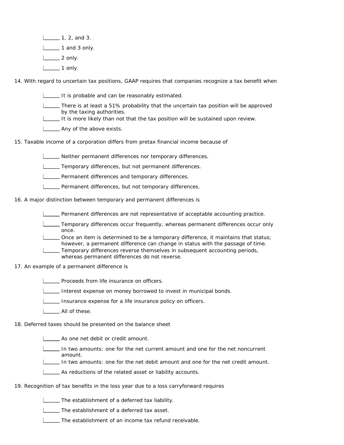$\boxed{\phantom{1}}$  1, 2, and 3.  $1 \_\_\_\$ 1 and 3 only.  $\Box$  2 only.  $\Box$  1 only.

14. With regard to uncertain tax positions, GAAP requires that companies recognize a tax benefit when

It is probable and can be reasonably estimated.

There is at least a 51% probability that the uncertain tax position will be approved by the taxing authorities.

It is more likely than not that the tax position will be sustained upon review.

**LETT** Any of the above exists.

15. Taxable income of a corporation differs from pretax financial income because of

**LETT** Neither permanent differences nor temporary differences.

**LETTE** Temporary differences, but not permanent differences.

**L\_\_\_\_** Permanent differences and temporary differences.

**LETTER** Permanent differences, but not temporary differences.

16. A major distinction between temporary and permanent differences is

Permanent differences are not representative of acceptable accounting practice.

Temporary differences occur frequently, whereas permanent differences occur only once.

Once an item is determined to be a temporary difference, it maintains that status; however, a permanent difference can change in status with the passage of time.

Temporary differences reverse themselves in subsequent accounting periods, whereas permanent differences do not reverse.

#### 17. An example of a permanent difference is

Proceeds from life insurance on officers.

Interest expense on money borrowed to invest in municipal bonds.

Insurance expense for a life insurance policy on officers.

All of these.

18. Deferred taxes should be presented on the balance sheet

As one net debit or credit amount.

In two amounts: one for the net current amount and one for the net noncurrent amount.

In two amounts: one for the net debit amount and one for the net credit amount.

As reductions of the related asset or liability accounts.

### 19. Recognition of tax benefits in the loss year due to a loss carryforward requires

The establishment of a deferred tax liability.

**The establishment of a deferred tax asset.** 

The establishment of an income tax refund receivable.